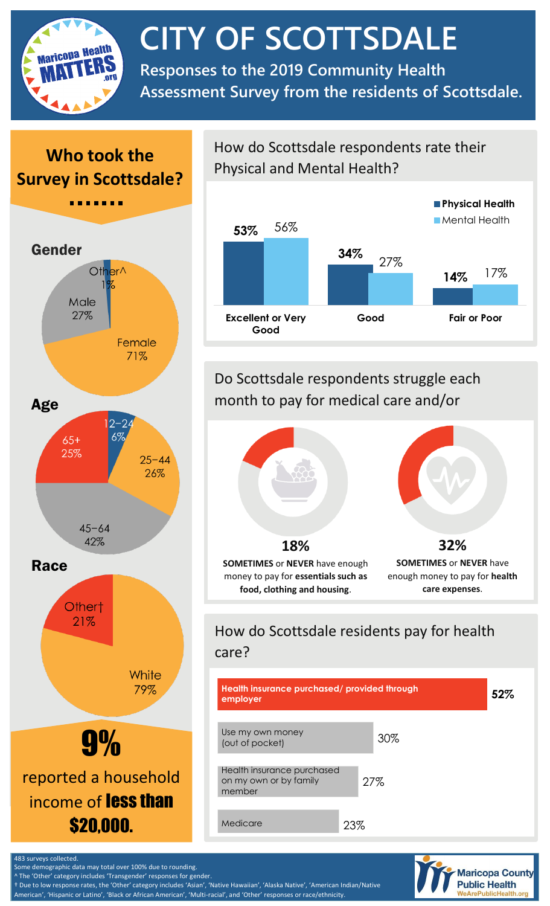

# **CITY OF SCOTTSDALE**

**Responses to the 2019 Community Health Assessment Survey from the residents of Scottsdale.**

## **Who took the Survey in Scottsdale?**



#### How do Scottsdale respondents rate their Physical and Mental Health?



## Do Scottsdale respondents struggle each month to pay for medical care and/or



## How do Scottsdale residents pay for health care?





Some demographic data may total over 100% due to rounding.

The 'Other' category includes 'Transgender' responses for gender.

† Due to low response rates, the 'Other' category includes 'Asian', 'Native Hawaiian', 'Alaska Native', 'American Indian/Native American', 'Hispanic or Latino', 'Black or African American', 'Multi-racial', and 'Other' responses or race/ethnicity.